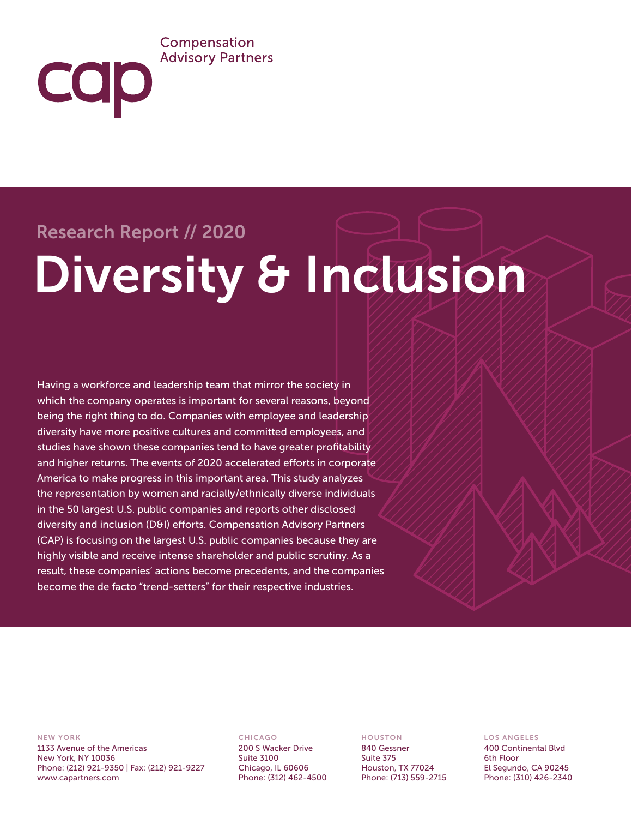## Compensation **Advisory Partners**

COD

# Research Report // 2020 Diversity & Inclusion

Having a workforce and leadership team that mirror the society in which the company operates is important for several reasons, beyond being the right thing to do. Companies with employee and leadership diversity have more positive cultures and committed employees, and studies have shown these companies tend to have greater profitability and higher returns. The events of 2020 accelerated efforts in corporate America to make progress in this important area. This study analyzes the representation by women and racially/ethnically diverse individuals in the 50 largest U.S. public companies and reports other disclosed diversity and inclusion (D&I) efforts. Compensation Advisory Partners (CAP) is focusing on the largest U.S. public companies because they are highly visible and receive intense shareholder and public scrutiny. As a result, these companies' actions become precedents, and the companies become the de facto "trend-setters" for their respective industries.

#### NEW YORK

1133 Avenue of the Americas New York, NY 10036 Phone: (212) 921-9350 | Fax: (212) 921-9227 www.capartners.com

#### CHICAGO

200 S Wacker Drive Suite 3100 Chicago, IL 60606 Phone: (312) 462-4500

#### HOUSTON

840 Gessner Suite 375 Houston, TX 77024 Phone: (713) 559-2715

#### LOS ANGELES

400 Continental Blvd 6th Floor El Segundo, CA 90245 Phone: (310) 426-2340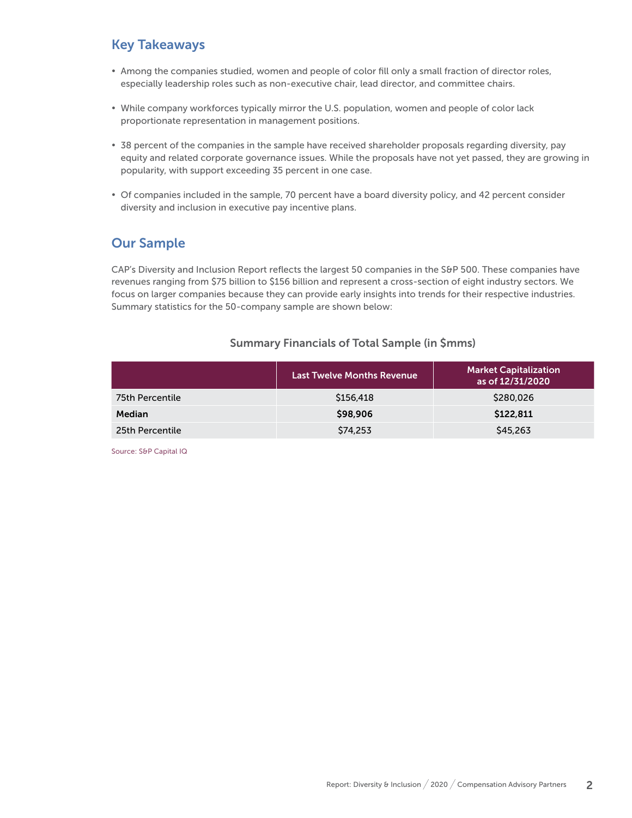# Key Takeaways

- Among the companies studied, women and people of color fill only a small fraction of director roles, especially leadership roles such as non-executive chair, lead director, and committee chairs.
- While company workforces typically mirror the U.S. population, women and people of color lack proportionate representation in management positions.
- 38 percent of the companies in the sample have received shareholder proposals regarding diversity, pay equity and related corporate governance issues. While the proposals have not yet passed, they are growing in popularity, with support exceeding 35 percent in one case.
- Of companies included in the sample, 70 percent have a board diversity policy, and 42 percent consider diversity and inclusion in executive pay incentive plans.

## Our Sample

CAP's Diversity and Inclusion Report reflects the largest 50 companies in the S&P 500. These companies have revenues ranging from \$75 billion to \$156 billion and represent a cross-section of eight industry sectors. We focus on larger companies because they can provide early insights into trends for their respective industries. Summary statistics for the 50-company sample are shown below:

### Summary Financials of Total Sample (in \$mms)

|                 | <b>Last Twelve Months Revenue</b> | <b>Market Capitalization</b><br>as of 12/31/2020 |
|-----------------|-----------------------------------|--------------------------------------------------|
| 75th Percentile | \$156,418                         | \$280,026                                        |
| Median          | \$98,906                          | \$122,811                                        |
| 25th Percentile | \$74,253                          | \$45,263                                         |

Source: S&P Capital IQ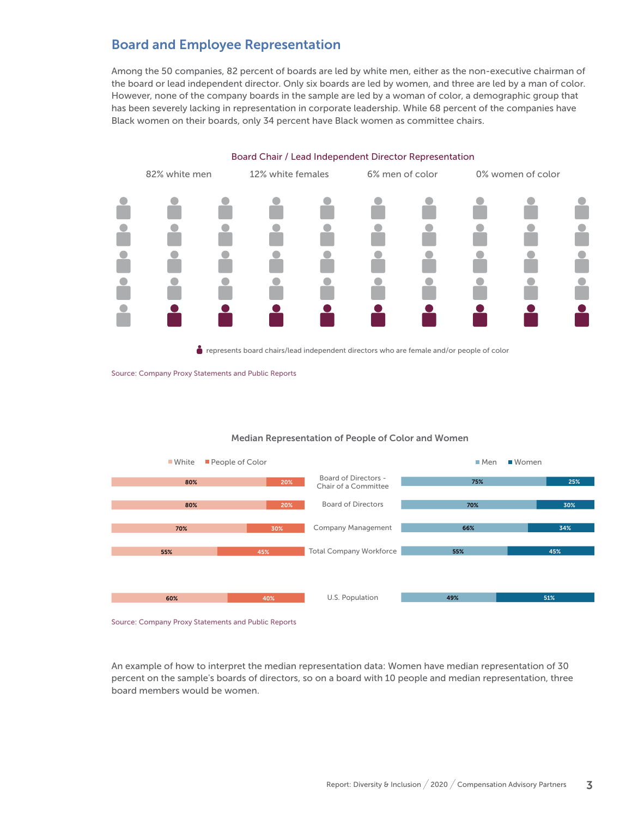## Board and Employee Representation

Among the 50 companies, 82 percent of boards are led by white men, either as the non-executive chairman of the board or lead independent director. Only six boards are led by women, and three are led by a man of color. However, none of the company boards in the sample are led by a woman of color, a demographic group that has been severely lacking in representation in corporate leadership. While 68 percent of the companies have Black women on their boards, only 34 percent have Black women as committee chairs.



represents board chairs/lead independent directors who are female and/or people of color



#### Median Representation of People of Color and Women

Source: Company Proxy Statements and Public Reports

An example of how to interpret the median representation data: Women have median representation of 30 percent on the sample's boards of directors, so on a board with 10 people and median representation, three board members would be women.

Source: Company Proxy Statements and Public Reports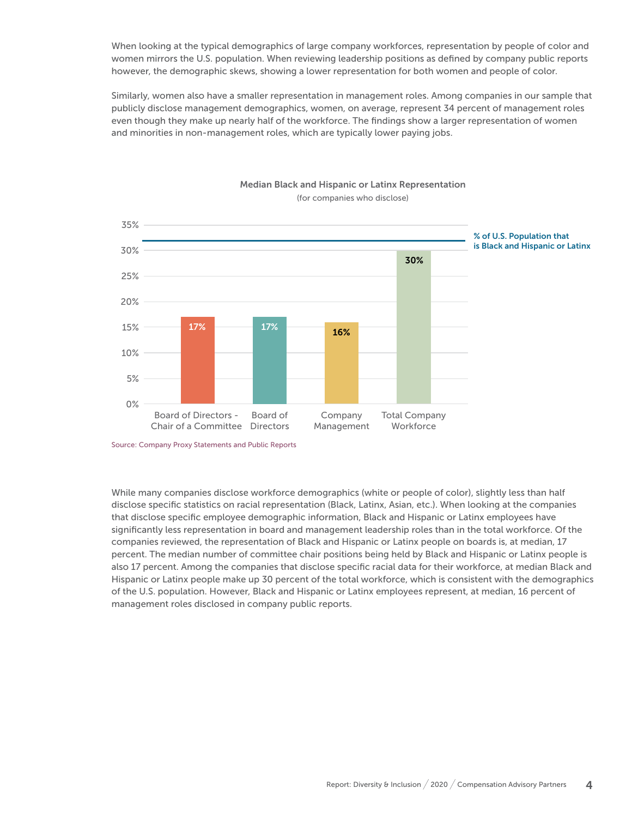When looking at the typical demographics of large company workforces, representation by people of color and women mirrors the U.S. population. When reviewing leadership positions as defined by company public reports however, the demographic skews, showing a lower representation for both women and people of color.

Similarly, women also have a smaller representation in management roles. Among companies in our sample that publicly disclose management demographics, women, on average, represent 34 percent of management roles even though they make up nearly half of the workforce. The findings show a larger representation of women and minorities in non-management roles, which are typically lower paying jobs.



#### Median Black and Hispanic or Latinx Representation (for companies who disclose)

While many companies disclose workforce demographics (white or people of color), slightly less than half disclose specific statistics on racial representation (Black, Latinx, Asian, etc.). When looking at the companies that disclose specific employee demographic information, Black and Hispanic or Latinx employees have significantly less representation in board and management leadership roles than in the total workforce. Of the companies reviewed, the representation of Black and Hispanic or Latinx people on boards is, at median, 17 percent. The median number of committee chair positions being held by Black and Hispanic or Latinx people is also 17 percent. Among the companies that disclose specific racial data for their workforce, at median Black and Hispanic or Latinx people make up 30 percent of the total workforce, which is consistent with the demographics of the U.S. population. However, Black and Hispanic or Latinx employees represent, at median, 16 percent of management roles disclosed in company public reports.

Source: Company Proxy Statements and Public Reports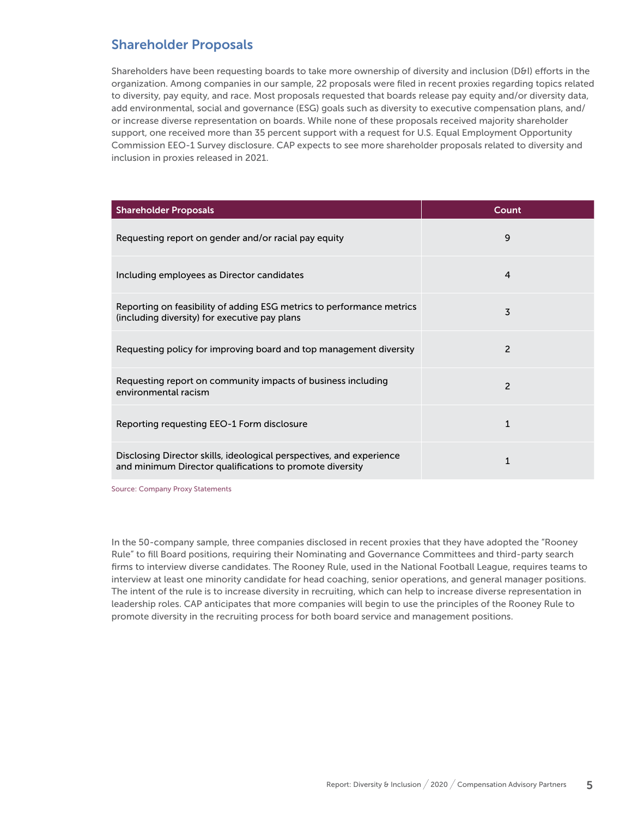## Shareholder Proposals

Shareholders have been requesting boards to take more ownership of diversity and inclusion (D&I) efforts in the organization. Among companies in our sample, 22 proposals were filed in recent proxies regarding topics related to diversity, pay equity, and race. Most proposals requested that boards release pay equity and/or diversity data, add environmental, social and governance (ESG) goals such as diversity to executive compensation plans, and/ or increase diverse representation on boards. While none of these proposals received majority shareholder support, one received more than 35 percent support with a request for U.S. Equal Employment Opportunity Commission EEO-1 Survey disclosure. CAP expects to see more shareholder proposals related to diversity and inclusion in proxies released in 2021.

| <b>Shareholder Proposals</b>                                                                                                     | Count          |
|----------------------------------------------------------------------------------------------------------------------------------|----------------|
| Requesting report on gender and/or racial pay equity                                                                             | 9              |
| Including employees as Director candidates                                                                                       | 4              |
| Reporting on feasibility of adding ESG metrics to performance metrics<br>(including diversity) for executive pay plans           | 3              |
| Requesting policy for improving board and top management diversity                                                               | 2              |
| Requesting report on community impacts of business including<br>environmental racism                                             | $\overline{2}$ |
| Reporting requesting EEO-1 Form disclosure                                                                                       | $\mathbf{1}$   |
| Disclosing Director skills, ideological perspectives, and experience<br>and minimum Director qualifications to promote diversity | 1              |

Source: Company Proxy Statements

In the 50-company sample, three companies disclosed in recent proxies that they have adopted the "Rooney Rule" to fill Board positions, requiring their Nominating and Governance Committees and third-party search firms to interview diverse candidates. The Rooney Rule, used in the National Football League, requires teams to interview at least one minority candidate for head coaching, senior operations, and general manager positions. The intent of the rule is to increase diversity in recruiting, which can help to increase diverse representation in leadership roles. CAP anticipates that more companies will begin to use the principles of the Rooney Rule to promote diversity in the recruiting process for both board service and management positions.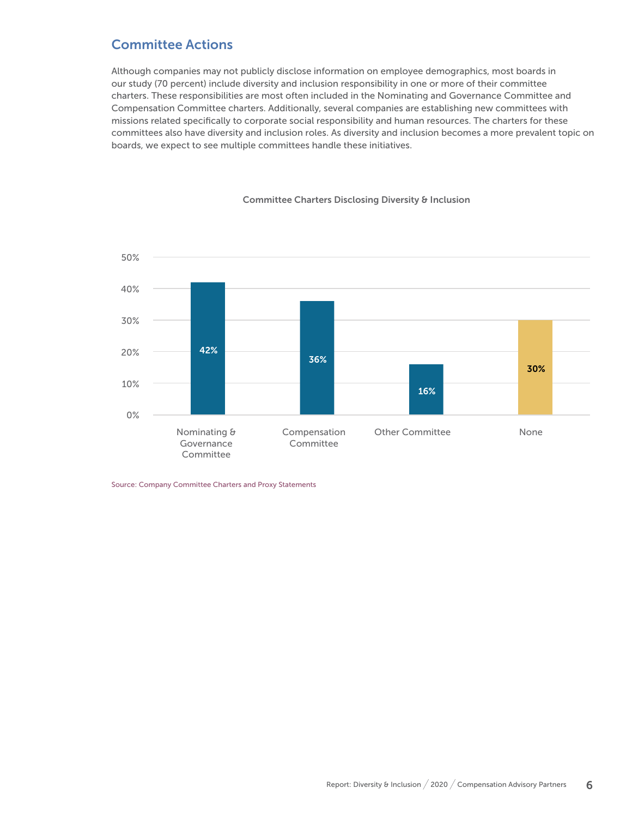# Committee Actions

Although companies may not publicly disclose information on employee demographics, most boards in our study (70 percent) include diversity and inclusion responsibility in one or more of their committee charters. These responsibilities are most often included in the Nominating and Governance Committee and Compensation Committee charters. Additionally, several companies are establishing new committees with missions related specifically to corporate social responsibility and human resources. The charters for these committees also have diversity and inclusion roles. As diversity and inclusion becomes a more prevalent topic on boards, we expect to see multiple committees handle these initiatives.



#### Committee Charters Disclosing Diversity & Inclusion

Source: Company Committee Charters and Proxy Statements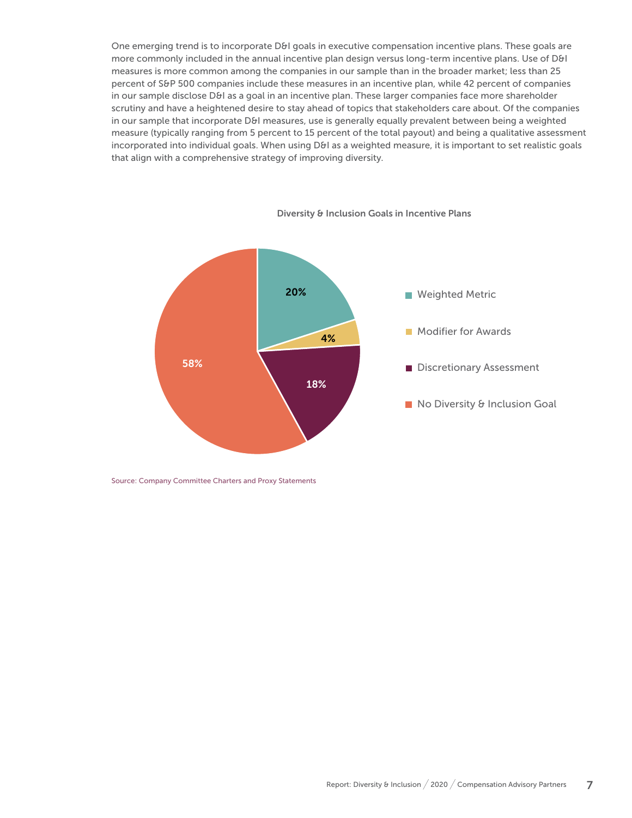One emerging trend is to incorporate D&I goals in executive compensation incentive plans. These goals are more commonly included in the annual incentive plan design versus long-term incentive plans. Use of D&I measures is more common among the companies in our sample than in the broader market; less than 25 percent of S&P 500 companies include these measures in an incentive plan, while 42 percent of companies in our sample disclose D&I as a goal in an incentive plan. These larger companies face more shareholder scrutiny and have a heightened desire to stay ahead of topics that stakeholders care about. Of the companies in our sample that incorporate D&I measures, use is generally equally prevalent between being a weighted measure (typically ranging from 5 percent to 15 percent of the total payout) and being a qualitative assessment incorporated into individual goals. When using D&I as a weighted measure, it is important to set realistic goals that align with a comprehensive strategy of improving diversity.



Diversity & Inclusion Goals in Incentive Plans

Source: Company Committee Charters and Proxy Statements